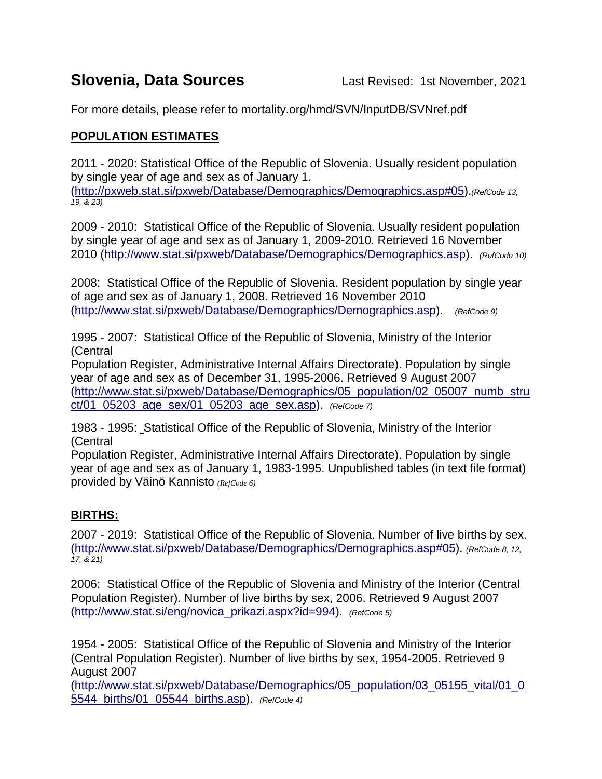## **Slovenia, Data Sources** Last Revised: 1st November, 2021

For more details, please refer to mortality.org/hmd/SVN/InputDB/SVNref.pdf

## **POPULATION ESTIMATES**

2011 - 2020: Statistical Office of the Republic of Slovenia. Usually resident population by single year of age and sex as of January 1.

(http://pxweb.stat.si/pxweb/Database/Demographics/Demographics.asp#05).*(RefCode 13, 19, & 23)*

2009 - 2010: Statistical Office of the Republic of Slovenia. Usually resident population by single year of age and sex as of January 1, 2009-2010. Retrieved 16 November 2010 (http://www.stat.si/pxweb/Database/Demographics/Demographics.asp). *(RefCode 10)*

2008: Statistical Office of the Republic of Slovenia. Resident population by single year of age and sex as of January 1, 2008. Retrieved 16 November 2010 (http://www.stat.si/pxweb/Database/Demographics/Demographics.asp). *(RefCode 9)*

1995 - 2007: Statistical Office of the Republic of Slovenia, Ministry of the Interior (Central

Population Register, Administrative Internal Affairs Directorate). Population by single year of age and sex as of December 31, 1995-2006. Retrieved 9 August 2007 (http://www.stat.si/pxweb/Database/Demographics/05\_population/02\_05007\_numb\_stru ct/01\_05203\_age\_sex/01\_05203\_age\_sex.asp). *(RefCode 7)*

1983 - 1995: Statistical Office of the Republic of Slovenia, Ministry of the Interior (Central

Population Register, Administrative Internal Affairs Directorate). Population by single year of age and sex as of January 1, 1983-1995. Unpublished tables (in text file format) provided by Väinö Kannisto *(RefCode 6)*

## **BIRTHS:**

2007 - 2019: Statistical Office of the Republic of Slovenia. Number of live births by sex. (http://www.stat.si/pxweb/Database/Demographics/Demographics.asp#05). *(RefCode 8, 12, 17, & 21)*

2006: Statistical Office of the Republic of Slovenia and Ministry of the Interior (Central Population Register). Number of live births by sex, 2006. Retrieved 9 August 2007 (http://www.stat.si/eng/novica\_prikazi.aspx?id=994). *(RefCode 5)*

1954 - 2005: Statistical Office of the Republic of Slovenia and Ministry of the Interior (Central Population Register). Number of live births by sex, 1954-2005. Retrieved 9 August 2007

(http://www.stat.si/pxweb/Database/Demographics/05\_population/03\_05155\_vital/01\_0 5544\_births/01\_05544\_births.asp). *(RefCode 4)*